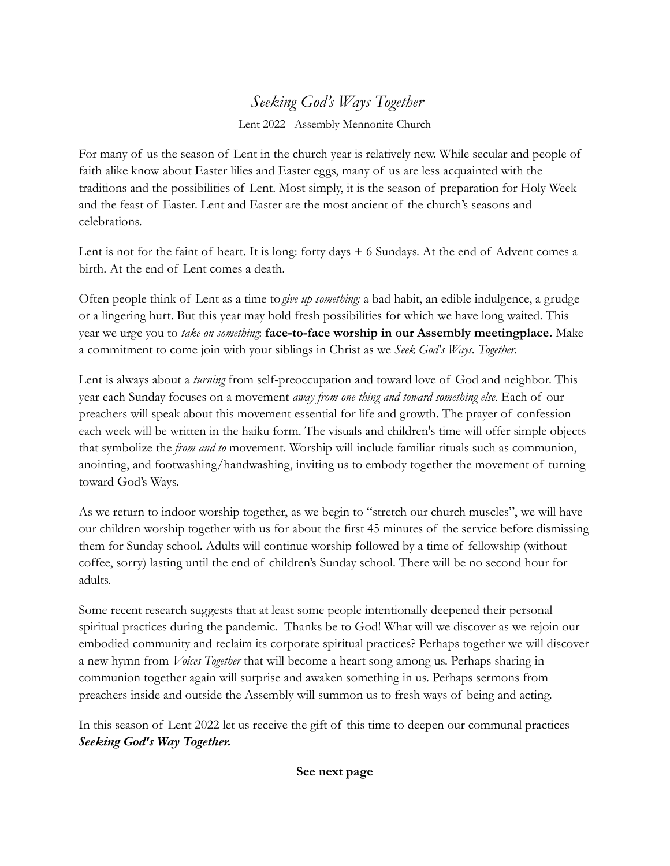## *Seeking God's Ways Together*

Lent 2022 Assembly Mennonite Church

For many of us the season of Lent in the church year is relatively new. While secular and people of faith alike know about Easter lilies and Easter eggs, many of us are less acquainted with the traditions and the possibilities of Lent. Most simply, it is the season of preparation for Holy Week and the feast of Easter. Lent and Easter are the most ancient of the church's seasons and celebrations.

Lent is not for the faint of heart. It is long: forty days + 6 Sundays. At the end of Advent comes a birth. At the end of Lent comes a death.

Often people think of Lent as a time to*give up something:* a bad habit, an edible indulgence, a grudge or a lingering hurt. But this year may hold fresh possibilities for which we have long waited. This year we urge you to *take on something*: **face-to-face worship in our Assembly meetingplace.** Make a commitment to come join with your siblings in Christ as we *Seek God's Ways. Together.*

Lent is always about a *turning* from self-preoccupation and toward love of God and neighbor. This year each Sunday focuses on a movement *away from one thing and toward something else.* Each of our preachers will speak about this movement essential for life and growth. The prayer of confession each week will be written in the haiku form. The visuals and children's time will offer simple objects that symbolize the *from and to* movement. Worship will include familiar rituals such as communion, anointing, and footwashing/handwashing, inviting us to embody together the movement of turning toward God's Ways.

As we return to indoor worship together, as we begin to "stretch our church muscles", we will have our children worship together with us for about the first 45 minutes of the service before dismissing them for Sunday school. Adults will continue worship followed by a time of fellowship (without coffee, sorry) lasting until the end of children's Sunday school. There will be no second hour for adults.

Some recent research suggests that at least some people intentionally deepened their personal spiritual practices during the pandemic. Thanks be to God! What will we discover as we rejoin our embodied community and reclaim its corporate spiritual practices? Perhaps together we will discover a new hymn from *Voices Together* that will become a heart song among us. Perhaps sharing in communion together again will surprise and awaken something in us. Perhaps sermons from preachers inside and outside the Assembly will summon us to fresh ways of being and acting.

In this season of Lent 2022 let us receive the gift of this time to deepen our communal practices *Seeking God's Way Together.*